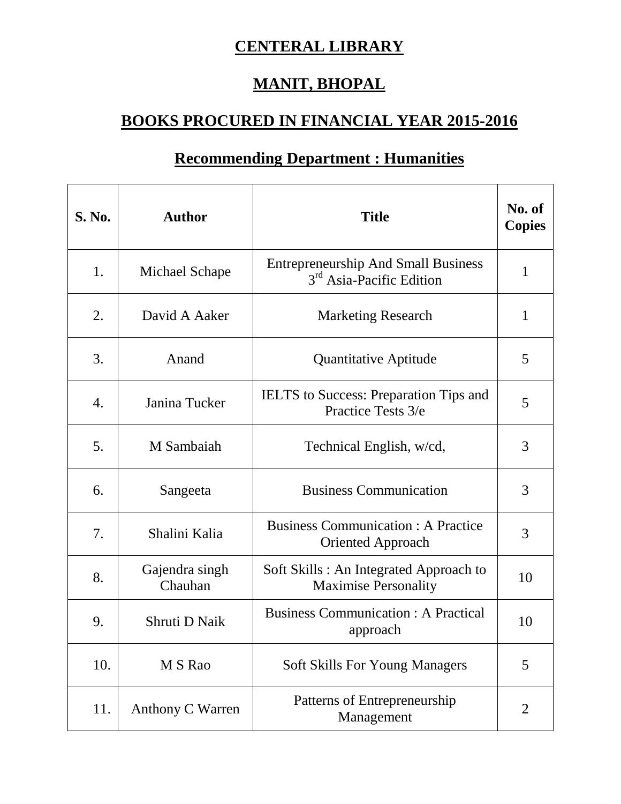## **CENTERAL LIBRARY**

## **MANIT, BHOPAL**

## **BOOKS PROCURED IN FINANCIAL YEAR 2015-2016**

## **Recommending Department : Humanities**

| <b>S. No.</b> | <b>Author</b>             | <b>Title</b>                                                                       | No. of<br><b>Copies</b> |
|---------------|---------------------------|------------------------------------------------------------------------------------|-------------------------|
| 1.            | Michael Schape            | <b>Entrepreneurship And Small Business</b><br>3 <sup>rd</sup> Asia-Pacific Edition | $\mathbf{1}$            |
| 2.            | David A Aaker             | <b>Marketing Research</b>                                                          | 1                       |
| 3.            | Anand                     | Quantitative Aptitude                                                              | 5                       |
| 4.            | Janina Tucker             | <b>IELTS</b> to Success: Preparation Tips and<br>Practice Tests 3/e                | 5                       |
| 5.            | M Sambaiah                | Technical English, w/cd,                                                           | 3                       |
| 6.            | Sangeeta                  | <b>Business Communication</b>                                                      | 3                       |
| 7.            | Shalini Kalia             | <b>Business Communication: A Practice</b><br><b>Oriented Approach</b>              | 3                       |
| 8.            | Gajendra singh<br>Chauhan | Soft Skills: An Integrated Approach to<br><b>Maximise Personality</b>              | 10                      |
| 9.            | Shruti D Naik             | <b>Business Communication: A Practical</b><br>approach                             | 10                      |
| 10.           | M S Rao                   | <b>Soft Skills For Young Managers</b>                                              | 5                       |
| 11.           | Anthony C Warren          | Patterns of Entrepreneurship<br>Management                                         | $\overline{2}$          |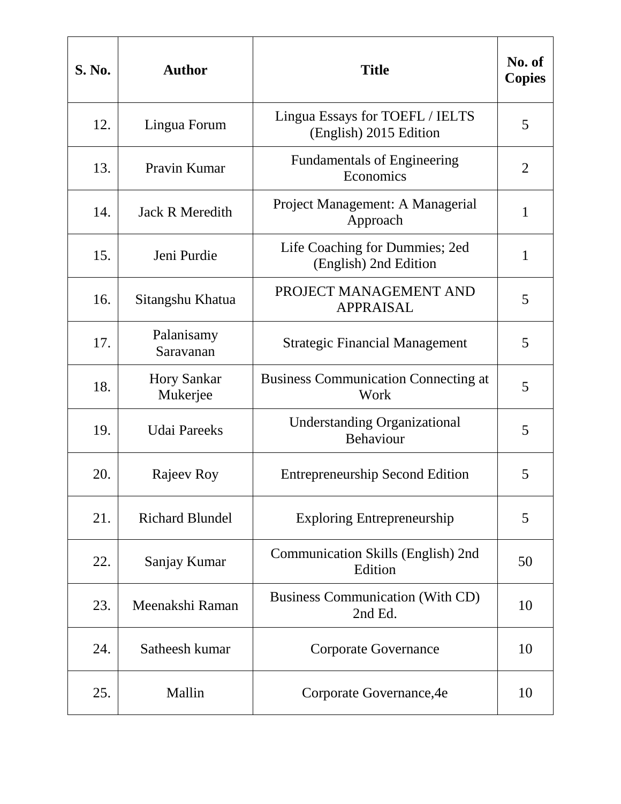| <b>S. No.</b> | <b>Author</b>                  | <b>Title</b>                                              | No. of<br><b>Copies</b> |
|---------------|--------------------------------|-----------------------------------------------------------|-------------------------|
| 12.           | Lingua Forum                   | Lingua Essays for TOEFL / IELTS<br>(English) 2015 Edition | 5                       |
| 13.           | Pravin Kumar                   | <b>Fundamentals of Engineering</b><br>Economics           | $\overline{2}$          |
| 14.           | <b>Jack R Meredith</b>         | Project Management: A Managerial<br>Approach              | $\mathbf{1}$            |
| 15.           | Jeni Purdie                    | Life Coaching for Dummies; 2ed<br>(English) 2nd Edition   | $\mathbf{1}$            |
| 16.           | Sitangshu Khatua               | PROJECT MANAGEMENT AND<br><b>APPRAISAL</b>                | 5                       |
| 17.           | Palanisamy<br>Saravanan        | <b>Strategic Financial Management</b>                     | 5                       |
| 18.           | <b>Hory Sankar</b><br>Mukerjee | <b>Business Communication Connecting at</b><br>Work       | 5                       |
| 19.           | <b>Udai Pareeks</b>            | <b>Understanding Organizational</b><br>Behaviour          | 5                       |
| 20.           | Rajeev Roy                     | <b>Entrepreneurship Second Edition</b>                    | 5                       |
| 21.           | <b>Richard Blundel</b>         | <b>Exploring Entrepreneurship</b>                         | 5                       |
| 22.           | Sanjay Kumar                   | Communication Skills (English) 2nd<br>Edition             | 50                      |
| 23.           | Meenakshi Raman                | <b>Business Communication (With CD)</b><br>2nd Ed.        | 10                      |
| 24.           | Satheesh kumar                 | <b>Corporate Governance</b>                               | 10                      |
| 25.           | Mallin                         | Corporate Governance, 4e                                  | 10                      |